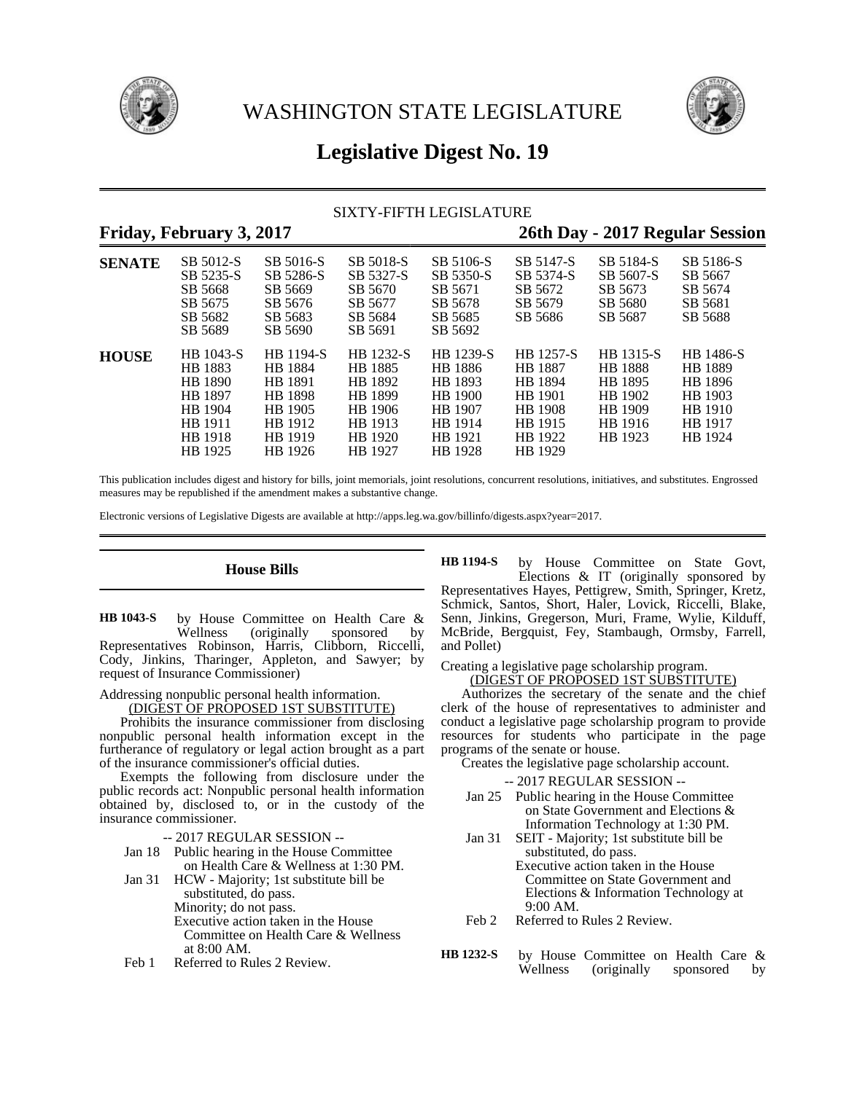



# **Legislative Digest No. 19**

### SIXTY-FIFTH LEGISLATURE

## **Friday, February 3, 2017 26th Day - 2017 Regular Session**

| $\cdot$       |                                                                                        |                                                                                               |                                                                                        |                                                                                        |                                                                                               | ັ                                                                                  |                                                                             |
|---------------|----------------------------------------------------------------------------------------|-----------------------------------------------------------------------------------------------|----------------------------------------------------------------------------------------|----------------------------------------------------------------------------------------|-----------------------------------------------------------------------------------------------|------------------------------------------------------------------------------------|-----------------------------------------------------------------------------|
| <b>SENATE</b> | SB 5012-S<br>SB 5235-S<br>SB 5668<br>SB 5675<br>SB 5682<br>SB 5689                     | SB 5016-S<br>SB 5286-S<br>SB 5669<br>SB 5676<br>SB 5683<br>SB 5690                            | SB 5018-S<br>SB 5327-S<br>SB 5670<br>SB 5677<br>SB 5684<br>SB 5691                     | SB 5106-S<br>SB 5350-S<br>SB 5671<br>SB 5678<br>SB 5685<br>SB 5692                     | SB 5147-S<br>SB 5374-S<br>SB 5672<br>SB 5679<br>SB 5686                                       | SB 5184-S<br>SB 5607-S<br>SB 5673<br>SB 5680<br>SB 5687                            | SB 5186-S<br>SB 5667<br>SB 5674<br>SB 5681<br>SB 5688                       |
| <b>HOUSE</b>  | HB 1043-S<br>HB 1883<br>HB 1890<br>HB 1897<br>HB 1904<br>HB 1911<br>HB 1918<br>HB 1925 | HB 1194-S<br>HB 1884<br>HB 1891<br><b>HB</b> 1898<br>HB 1905<br>HB 1912<br>HB 1919<br>HB 1926 | HB 1232-S<br>HB 1885<br>HB 1892<br>HB 1899<br>HB 1906<br>HB 1913<br>HB 1920<br>HB 1927 | HB 1239-S<br>HB 1886<br>HB 1893<br>HB 1900<br>HB 1907<br>HB 1914<br>HB 1921<br>HB 1928 | HB 1257-S<br><b>HB</b> 1887<br>HB 1894<br>HB 1901<br>HB 1908<br>HB 1915<br>HB 1922<br>HB 1929 | HB 1315-S<br><b>HB</b> 1888<br>HB 1895<br>HB 1902<br>HB 1909<br>HB 1916<br>HB 1923 | HB 1486-S<br>HB 1889<br>HB 1896<br>HB 1903<br>HB 1910<br>HB 1917<br>HB 1924 |

This publication includes digest and history for bills, joint memorials, joint resolutions, concurrent resolutions, initiatives, and substitutes. Engrossed measures may be republished if the amendment makes a substantive change.

Electronic versions of Legislative Digests are available at http://apps.leg.wa.gov/billinfo/digests.aspx?year=2017.

### **House Bills**

by House Committee on Health Care & Wellness (originally sponsored by Representatives Robinson, Harris, Clibborn, Riccelli, Cody, Jinkins, Tharinger, Appleton, and Sawyer; by request of Insurance Commissioner) **HB 1043-S**

Addressing nonpublic personal health information.

(DIGEST OF PROPOSED 1ST SUBSTITUTE)

Prohibits the insurance commissioner from disclosing nonpublic personal health information except in the furtherance of regulatory or legal action brought as a part of the insurance commissioner's official duties.

Exempts the following from disclosure under the public records act: Nonpublic personal health information obtained by, disclosed to, or in the custody of the insurance commissioner.

- -- 2017 REGULAR SESSION --
- Jan 18 Public hearing in the House Committee on Health Care & Wellness at 1:30 PM.
- Jan 31 HCW Majority; 1st substitute bill be substituted, do pass. Minority; do not pass. Executive action taken in the House Committee on Health Care & Wellness at 8:00 AM.
- Feb 1 Referred to Rules 2 Review.

by House Committee on State Govt, Elections & IT (originally sponsored by Representatives Hayes, Pettigrew, Smith, Springer, Kretz, Schmick, Santos, Short, Haler, Lovick, Riccelli, Blake, Senn, Jinkins, Gregerson, Muri, Frame, Wylie, Kilduff, McBride, Bergquist, Fey, Stambaugh, Ormsby, Farrell, and Pollet) **HB 1194-S**

Creating a legislative page scholarship program. (DIGEST OF PROPOSED 1ST SUBSTITUTE)

Authorizes the secretary of the senate and the chief clerk of the house of representatives to administer and conduct a legislative page scholarship program to provide resources for students who participate in the page programs of the senate or house.

Creates the legislative page scholarship account.

-- 2017 REGULAR SESSION --

- Jan 25 Public hearing in the House Committee on State Government and Elections & Information Technology at 1:30 PM.
- Jan 31 SEIT Majority; 1st substitute bill be substituted, do pass. Executive action taken in the House Committee on State Government and Elections & Information Technology at
- 9:00 AM. Feb 2 Referred to Rules 2 Review.
- by House Committee on Health Care & Wellness (originally sponsored by **HB 1232-S**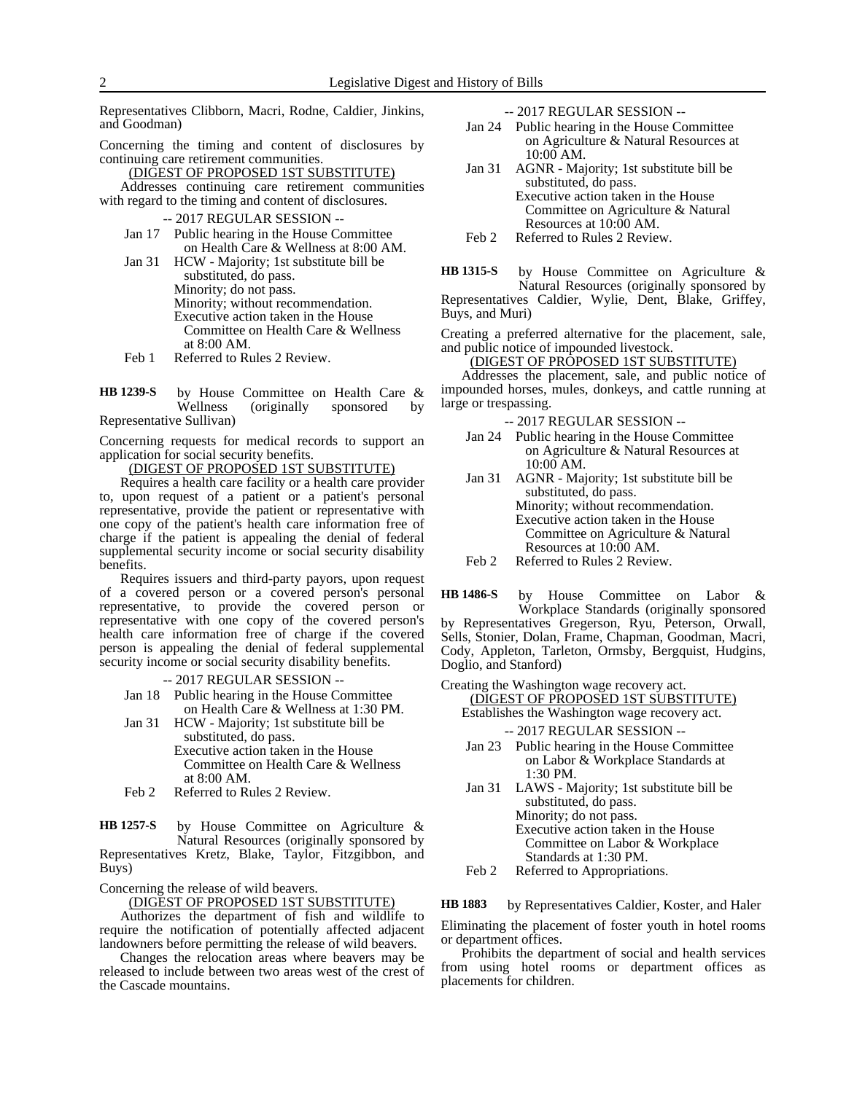Representatives Clibborn, Macri, Rodne, Caldier, Jinkins, and Goodman)

Concerning the timing and content of disclosures by continuing care retirement communities.

(DIGEST OF PROPOSED 1ST SUBSTITUTE) Addresses continuing care retirement communities with regard to the timing and content of disclosures.

- -- 2017 REGULAR SESSION --
- Jan 17 Public hearing in the House Committee on Health Care & Wellness at 8:00 AM.
- Jan 31 HCW Majority; 1st substitute bill be substituted, do pass. Minority; do not pass. Minority; without recommendation. Executive action taken in the House Committee on Health Care & Wellness at 8:00 AM.
- Feb 1 Referred to Rules 2 Review.

by House Committee on Health Care &<br>Wellness (originally sponsored by (originally sponsored by Representative Sullivan) **HB 1239-S**

Concerning requests for medical records to support an application for social security benefits.

(DIGEST OF PROPOSED 1ST SUBSTITUTE)

Requires a health care facility or a health care provider to, upon request of a patient or a patient's personal representative, provide the patient or representative with one copy of the patient's health care information free of charge if the patient is appealing the denial of federal supplemental security income or social security disability benefits.

Requires issuers and third-party payors, upon request of a covered person or a covered person's personal representative, to provide the covered person or representative with one copy of the covered person's health care information free of charge if the covered person is appealing the denial of federal supplemental security income or social security disability benefits.

-- 2017 REGULAR SESSION --

- Jan 18 Public hearing in the House Committee on Health Care & Wellness at 1:30 PM.
- Jan 31 HCW Majority; 1st substitute bill be substituted, do pass. Executive action taken in the House

Committee on Health Care & Wellness at 8:00 AM.

Feb 2 Referred to Rules 2 Review.

by House Committee on Agriculture & Natural Resources (originally sponsored by Representatives Kretz, Blake, Taylor, Fitzgibbon, and **HB 1257-S**

Buys)

Concerning the release of wild beavers.

(DIGEST OF PROPOSED 1ST SUBSTITUTE)

Authorizes the department of fish and wildlife to require the notification of potentially affected adjacent landowners before permitting the release of wild beavers.

Changes the relocation areas where beavers may be released to include between two areas west of the crest of the Cascade mountains.

-- 2017 REGULAR SESSION --

- Jan 24 Public hearing in the House Committee on Agriculture & Natural Resources at 10:00 AM.
- Jan 31 AGNR Majority; 1st substitute bill be substituted, do pass. Executive action taken in the House Committee on Agriculture & Natural Resources at 10:00 AM.
- Feb 2 Referred to Rules 2 Review.

by House Committee on Agriculture & Natural Resources (originally sponsored by Representatives Caldier, Wylie, Dent, Blake, Griffey, Buys, and Muri) **HB 1315-S**

Creating a preferred alternative for the placement, sale, and public notice of impounded livestock.

(DIGEST OF PROPOSED 1ST SUBSTITUTE)

Addresses the placement, sale, and public notice of impounded horses, mules, donkeys, and cattle running at large or trespassing.

-- 2017 REGULAR SESSION --

- Jan 24 Public hearing in the House Committee on Agriculture & Natural Resources at 10:00 AM.
- Jan 31 AGNR Majority; 1st substitute bill be substituted, do pass. Minority; without recommendation. Executive action taken in the House Committee on Agriculture & Natural Resources at 10:00 AM.
- Feb 2 Referred to Rules 2 Review.

by House Committee on Labor & Workplace Standards (originally sponsored by Representatives Gregerson, Ryu, Peterson, Orwall, Sells, Stonier, Dolan, Frame, Chapman, Goodman, Macri, Cody, Appleton, Tarleton, Ormsby, Bergquist, Hudgins, Doglio, and Stanford) **HB 1486-S**

Creating the Washington wage recovery act.

(DIGEST OF PROPOSED 1ST SUBSTITUTE) Establishes the Washington wage recovery act.

-- 2017 REGULAR SESSION --

- Jan 23 Public hearing in the House Committee on Labor & Workplace Standards at 1:30 PM.
- Jan 31 LAWS Majority; 1st substitute bill be substituted, do pass. Minority; do not pass. Executive action taken in the House

Committee on Labor & Workplace Standards at 1:30 PM.

Feb 2 Referred to Appropriations.

by Representatives Caldier, Koster, and Haler **HB 1883**

Eliminating the placement of foster youth in hotel rooms or department offices.

Prohibits the department of social and health services from using hotel rooms or department offices as placements for children.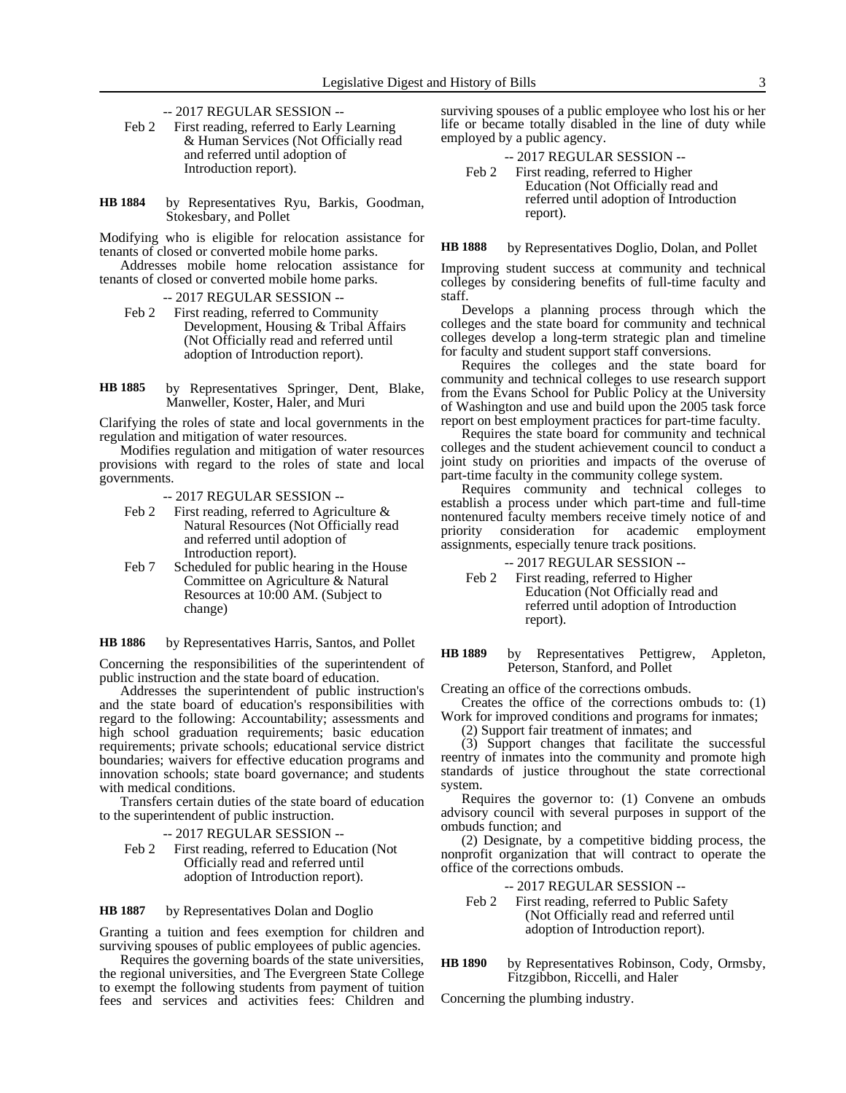- -- 2017 REGULAR SESSION --
- Feb 2 First reading, referred to Early Learning & Human Services (Not Officially read and referred until adoption of Introduction report).
- by Representatives Ryu, Barkis, Goodman, Stokesbary, and Pollet **HB 1884**

Modifying who is eligible for relocation assistance for tenants of closed or converted mobile home parks.

Addresses mobile home relocation assistance for tenants of closed or converted mobile home parks.

- -- 2017 REGULAR SESSION --
- Feb 2 First reading, referred to Community Development, Housing & Tribal Affairs (Not Officially read and referred until adoption of Introduction report).
- by Representatives Springer, Dent, Blake, Manweller, Koster, Haler, and Muri **HB 1885**

Clarifying the roles of state and local governments in the regulation and mitigation of water resources.

Modifies regulation and mitigation of water resources provisions with regard to the roles of state and local governments.

- -- 2017 REGULAR SESSION --
- Feb 2 First reading, referred to Agriculture & Natural Resources (Not Officially read and referred until adoption of Introduction report).
- Feb 7 Scheduled for public hearing in the House Committee on Agriculture & Natural Resources at 10:00 AM. (Subject to change)

by Representatives Harris, Santos, and Pollet **HB 1886**

Concerning the responsibilities of the superintendent of public instruction and the state board of education.

Addresses the superintendent of public instruction's and the state board of education's responsibilities with regard to the following: Accountability; assessments and high school graduation requirements; basic education requirements; private schools; educational service district boundaries; waivers for effective education programs and innovation schools; state board governance; and students with medical conditions.

Transfers certain duties of the state board of education to the superintendent of public instruction.

-- 2017 REGULAR SESSION --

Feb 2 First reading, referred to Education (Not Officially read and referred until adoption of Introduction report).

by Representatives Dolan and Doglio **HB 1887**

Granting a tuition and fees exemption for children and surviving spouses of public employees of public agencies.

Requires the governing boards of the state universities, the regional universities, and The Evergreen State College to exempt the following students from payment of tuition fees and services and activities fees: Children and surviving spouses of a public employee who lost his or her life or became totally disabled in the line of duty while employed by a public agency.

| $-2017$ REGULAR SESSION $-$             |
|-----------------------------------------|
| Feb 2 First reading, referred to Higher |
| Education (Not Officially read and      |
| referred until adoption of Introduction |
| report).                                |

by Representatives Doglio, Dolan, and Pollet **HB 1888**

Improving student success at community and technical colleges by considering benefits of full-time faculty and staff.

Develops a planning process through which the colleges and the state board for community and technical colleges develop a long-term strategic plan and timeline for faculty and student support staff conversions.

Requires the colleges and the state board for community and technical colleges to use research support from the Evans School for Public Policy at the University of Washington and use and build upon the 2005 task force report on best employment practices for part-time faculty.

Requires the state board for community and technical colleges and the student achievement council to conduct a joint study on priorities and impacts of the overuse of part-time faculty in the community college system.

Requires community and technical colleges to establish a process under which part-time and full-time nontenured faculty members receive timely notice of and priority consideration for academic employment assignments, especially tenure track positions.

-- 2017 REGULAR SESSION --

Feb 2 First reading, referred to Higher Education (Not Officially read and referred until adoption of Introduction report).

by Representatives Pettigrew, Appleton, Peterson, Stanford, and Pollet **HB 1889**

Creating an office of the corrections ombuds.

Creates the office of the corrections ombuds to: (1) Work for improved conditions and programs for inmates;

(2) Support fair treatment of inmates; and

(3) Support changes that facilitate the successful reentry of inmates into the community and promote high standards of justice throughout the state correctional system.

Requires the governor to: (1) Convene an ombuds advisory council with several purposes in support of the ombuds function; and

(2) Designate, by a competitive bidding process, the nonprofit organization that will contract to operate the office of the corrections ombuds.

-- 2017 REGULAR SESSION --

- Feb 2 First reading, referred to Public Safety (Not Officially read and referred until adoption of Introduction report).
- by Representatives Robinson, Cody, Ormsby, Fitzgibbon, Riccelli, and Haler **HB 1890**

Concerning the plumbing industry.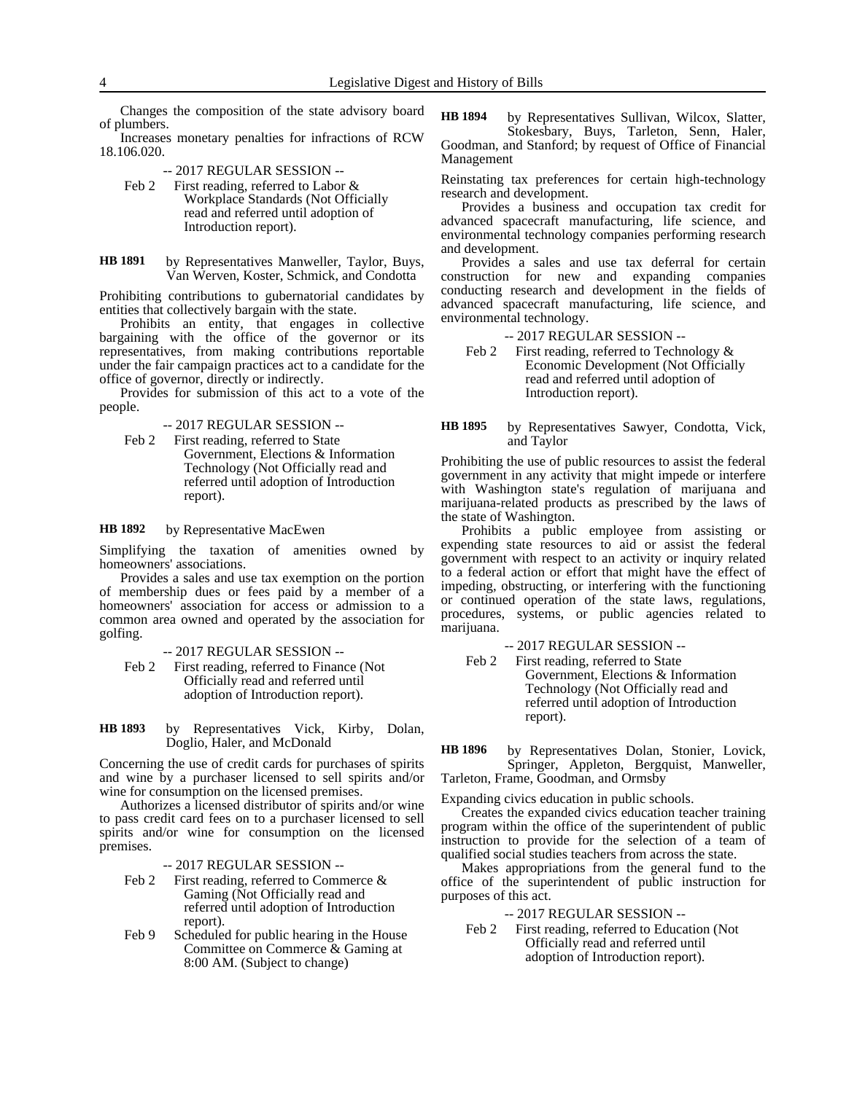Changes the composition of the state advisory board of plumbers.

Increases monetary penalties for infractions of RCW 18.106.020.

- -- 2017 REGULAR SESSION --
- Feb 2 First reading, referred to Labor & Workplace Standards (Not Officially read and referred until adoption of Introduction report).
- by Representatives Manweller, Taylor, Buys, Van Werven, Koster, Schmick, and Condotta **HB 1891**

Prohibiting contributions to gubernatorial candidates by entities that collectively bargain with the state.

Prohibits an entity, that engages in collective bargaining with the office of the governor or its representatives, from making contributions reportable under the fair campaign practices act to a candidate for the office of governor, directly or indirectly.

Provides for submission of this act to a vote of the people.

-- 2017 REGULAR SESSION --

Feb 2 First reading, referred to State Government, Elections & Information Technology (Not Officially read and referred until adoption of Introduction report).

by Representative MacEwen **HB 1892**

Simplifying the taxation of amenities owned by homeowners' associations.

Provides a sales and use tax exemption on the portion of membership dues or fees paid by a member of a homeowners' association for access or admission to a common area owned and operated by the association for golfing.

-- 2017 REGULAR SESSION --

- Feb 2 First reading, referred to Finance (Not Officially read and referred until adoption of Introduction report).
- by Representatives Vick, Kirby, Dolan, Doglio, Haler, and McDonald **HB 1893**

Concerning the use of credit cards for purchases of spirits and wine by a purchaser licensed to sell spirits and/or wine for consumption on the licensed premises.

Authorizes a licensed distributor of spirits and/or wine to pass credit card fees on to a purchaser licensed to sell spirits and/or wine for consumption on the licensed premises.

-- 2017 REGULAR SESSION --

- Feb 2 First reading, referred to Commerce & Gaming (Not Officially read and referred until adoption of Introduction report).
- Feb 9 Scheduled for public hearing in the House Committee on Commerce & Gaming at 8:00 AM. (Subject to change)

by Representatives Sullivan, Wilcox, Slatter, Stokesbary, Buys, Tarleton, Senn, Haler, Goodman, and Stanford; by request of Office of Financial Management **HB 1894**

Reinstating tax preferences for certain high-technology research and development.

Provides a business and occupation tax credit for advanced spacecraft manufacturing, life science, and environmental technology companies performing research and development.

Provides a sales and use tax deferral for certain construction for new and expanding companies conducting research and development in the fields of advanced spacecraft manufacturing, life science, and environmental technology.

-- 2017 REGULAR SESSION --

Feb 2 First reading, referred to Technology & Economic Development (Not Officially read and referred until adoption of Introduction report).

by Representatives Sawyer, Condotta, Vick, and Taylor **HB 1895**

Prohibiting the use of public resources to assist the federal government in any activity that might impede or interfere with Washington state's regulation of marijuana and marijuana-related products as prescribed by the laws of the state of Washington.

Prohibits a public employee from assisting or expending state resources to aid or assist the federal government with respect to an activity or inquiry related to a federal action or effort that might have the effect of impeding, obstructing, or interfering with the functioning or continued operation of the state laws, regulations, procedures, systems, or public agencies related to marijuana.

-- 2017 REGULAR SESSION --

Feb 2 First reading, referred to State Government, Elections & Information Technology (Not Officially read and referred until adoption of Introduction report).

by Representatives Dolan, Stonier, Lovick, Springer, Appleton, Bergquist, Manweller, Tarleton, Frame, Goodman, and Ormsby **HB 1896**

Expanding civics education in public schools.

Creates the expanded civics education teacher training program within the office of the superintendent of public instruction to provide for the selection of a team of qualified social studies teachers from across the state.

Makes appropriations from the general fund to the office of the superintendent of public instruction for purposes of this act.

-- 2017 REGULAR SESSION --

Feb 2 First reading, referred to Education (Not Officially read and referred until adoption of Introduction report).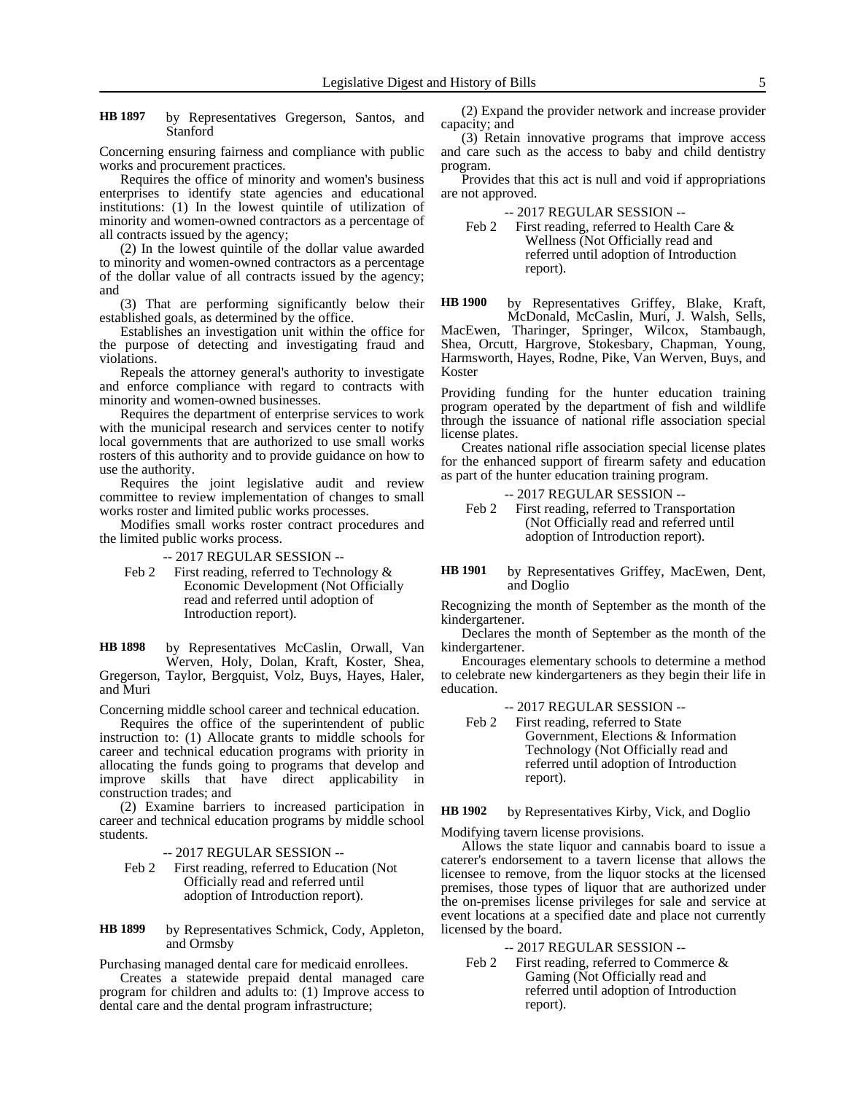by Representatives Gregerson, Santos, and Stanford **HB 1897**

Concerning ensuring fairness and compliance with public works and procurement practices.

Requires the office of minority and women's business enterprises to identify state agencies and educational institutions: (1) In the lowest quintile of utilization of minority and women-owned contractors as a percentage of all contracts issued by the agency;

(2) In the lowest quintile of the dollar value awarded to minority and women-owned contractors as a percentage of the dollar value of all contracts issued by the agency; and

(3) That are performing significantly below their established goals, as determined by the office.

Establishes an investigation unit within the office for the purpose of detecting and investigating fraud and violations.

Repeals the attorney general's authority to investigate and enforce compliance with regard to contracts with minority and women-owned businesses.

Requires the department of enterprise services to work with the municipal research and services center to notify local governments that are authorized to use small works rosters of this authority and to provide guidance on how to use the authority.

Requires the joint legislative audit and review committee to review implementation of changes to small works roster and limited public works processes.

Modifies small works roster contract procedures and the limited public works process.

-- 2017 REGULAR SESSION --

Feb 2 First reading, referred to Technology & Economic Development (Not Officially read and referred until adoption of Introduction report).

by Representatives McCaslin, Orwall, Van Werven, Holy, Dolan, Kraft, Koster, Shea, Gregerson, Taylor, Bergquist, Volz, Buys, Hayes, Haler, and Muri **HB 1898**

Concerning middle school career and technical education.

Requires the office of the superintendent of public instruction to: (1) Allocate grants to middle schools for career and technical education programs with priority in allocating the funds going to programs that develop and improve skills that have direct applicability in construction trades; and

(2) Examine barriers to increased participation in career and technical education programs by middle school students.

-- 2017 REGULAR SESSION --

- Feb 2 First reading, referred to Education (Not Officially read and referred until adoption of Introduction report).
- by Representatives Schmick, Cody, Appleton, and Ormsby **HB 1899**

Purchasing managed dental care for medicaid enrollees.

Creates a statewide prepaid dental managed care program for children and adults to: (1) Improve access to dental care and the dental program infrastructure;

(2) Expand the provider network and increase provider capacity; and

(3) Retain innovative programs that improve access and care such as the access to baby and child dentistry program.

Provides that this act is null and void if appropriations are not approved.

-- 2017 REGULAR SESSION --

Feb 2 First reading, referred to Health Care & Wellness (Not Officially read and referred until adoption of Introduction report).

by Representatives Griffey, Blake, Kraft, McDonald, McCaslin, Muri, J. Walsh, Sells, **HB 1900**

MacEwen, Tharinger, Springer, Wilcox, Stambaugh, Shea, Orcutt, Hargrove, Stokesbary, Chapman, Young, Harmsworth, Hayes, Rodne, Pike, Van Werven, Buys, and Koster

Providing funding for the hunter education training program operated by the department of fish and wildlife through the issuance of national rifle association special license plates.

Creates national rifle association special license plates for the enhanced support of firearm safety and education as part of the hunter education training program.

- -- 2017 REGULAR SESSION -- Feb 2 First reading, referred to Transportation (Not Officially read and referred until adoption of Introduction report).
- by Representatives Griffey, MacEwen, Dent, and Doglio **HB 1901**

Recognizing the month of September as the month of the kindergartener.

Declares the month of September as the month of the kindergartener.

Encourages elementary schools to determine a method to celebrate new kindergarteners as they begin their life in education.

-- 2017 REGULAR SESSION --<br>Feb 2 First reading, referred to State

First reading, referred to State Government, Elections & Information Technology (Not Officially read and referred until adoption of Introduction report).

#### by Representatives Kirby, Vick, and Doglio **HB 1902**

Modifying tavern license provisions.

Allows the state liquor and cannabis board to issue a caterer's endorsement to a tavern license that allows the licensee to remove, from the liquor stocks at the licensed premises, those types of liquor that are authorized under the on-premises license privileges for sale and service at event locations at a specified date and place not currently licensed by the board.

- -- 2017 REGULAR SESSION --
- Feb 2 First reading, referred to Commerce & Gaming (Not Officially read and referred until adoption of Introduction report).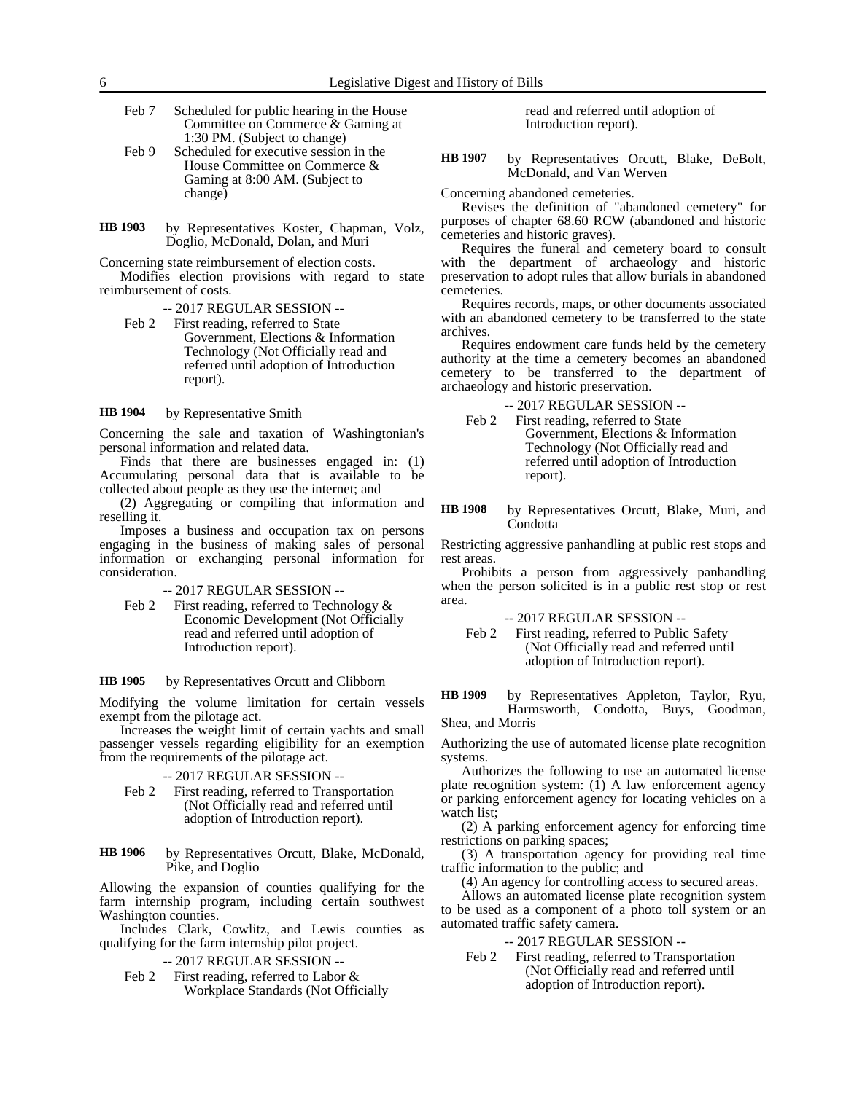- Feb 7 Scheduled for public hearing in the House Committee on Commerce & Gaming at 1:30 PM. (Subject to change)
- Feb 9 Scheduled for executive session in the House Committee on Commerce & Gaming at 8:00 AM. (Subject to change)
- by Representatives Koster, Chapman, Volz, Doglio, McDonald, Dolan, and Muri **HB 1903**

Concerning state reimbursement of election costs.

Modifies election provisions with regard to state reimbursement of costs.

-- 2017 REGULAR SESSION --

Feb 2 First reading, referred to State Government, Elections & Information Technology (Not Officially read and referred until adoption of Introduction report).

by Representative Smith **HB 1904**

Concerning the sale and taxation of Washingtonian's personal information and related data.

Finds that there are businesses engaged in: (1) Accumulating personal data that is available to be collected about people as they use the internet; and

(2) Aggregating or compiling that information and reselling it.

Imposes a business and occupation tax on persons engaging in the business of making sales of personal information or exchanging personal information for consideration.

### -- 2017 REGULAR SESSION --

Feb 2 First reading, referred to Technology & Economic Development (Not Officially read and referred until adoption of Introduction report).

by Representatives Orcutt and Clibborn **HB 1905**

Modifying the volume limitation for certain vessels exempt from the pilotage act.

Increases the weight limit of certain yachts and small passenger vessels regarding eligibility for an exemption from the requirements of the pilotage act.

-- 2017 REGULAR SESSION --

Feb 2 First reading, referred to Transportation (Not Officially read and referred until adoption of Introduction report).

### by Representatives Orcutt, Blake, McDonald, Pike, and Doglio **HB 1906**

Allowing the expansion of counties qualifying for the farm internship program, including certain southwest Washington counties.

Includes Clark, Cowlitz, and Lewis counties as qualifying for the farm internship pilot project.

-- 2017 REGULAR SESSION --

Feb 2 First reading, referred to Labor & Workplace Standards (Not Officially read and referred until adoption of Introduction report).

by Representatives Orcutt, Blake, DeBolt, McDonald, and Van Werven **HB 1907**

Concerning abandoned cemeteries.

Revises the definition of "abandoned cemetery" for purposes of chapter 68.60 RCW (abandoned and historic cemeteries and historic graves).

Requires the funeral and cemetery board to consult with the department of archaeology and historic preservation to adopt rules that allow burials in abandoned cemeteries.

Requires records, maps, or other documents associated with an abandoned cemetery to be transferred to the state archives.

Requires endowment care funds held by the cemetery authority at the time a cemetery becomes an abandoned cemetery to be transferred to the department of archaeology and historic preservation.

-- 2017 REGULAR SESSION --

Feb 2 First reading, referred to State Government, Elections & Information Technology (Not Officially read and referred until adoption of Introduction report).

by Representatives Orcutt, Blake, Muri, and Condotta **HB 1908**

Restricting aggressive panhandling at public rest stops and rest areas.

Prohibits a person from aggressively panhandling when the person solicited is in a public rest stop or rest area.

-- 2017 REGULAR SESSION --

Feb 2 First reading, referred to Public Safety (Not Officially read and referred until adoption of Introduction report).

by Representatives Appleton, Taylor, Ryu, Harmsworth, Condotta, Buys, Goodman, Shea, and Morris **HB 1909**

Authorizing the use of automated license plate recognition systems.

Authorizes the following to use an automated license plate recognition system:  $(1)$  A law enforcement agency or parking enforcement agency for locating vehicles on a watch list;

(2) A parking enforcement agency for enforcing time restrictions on parking spaces;

(3) A transportation agency for providing real time traffic information to the public; and

(4) An agency for controlling access to secured areas.

Allows an automated license plate recognition system to be used as a component of a photo toll system or an automated traffic safety camera.

### -- 2017 REGULAR SESSION --

Feb 2 First reading, referred to Transportation (Not Officially read and referred until adoption of Introduction report).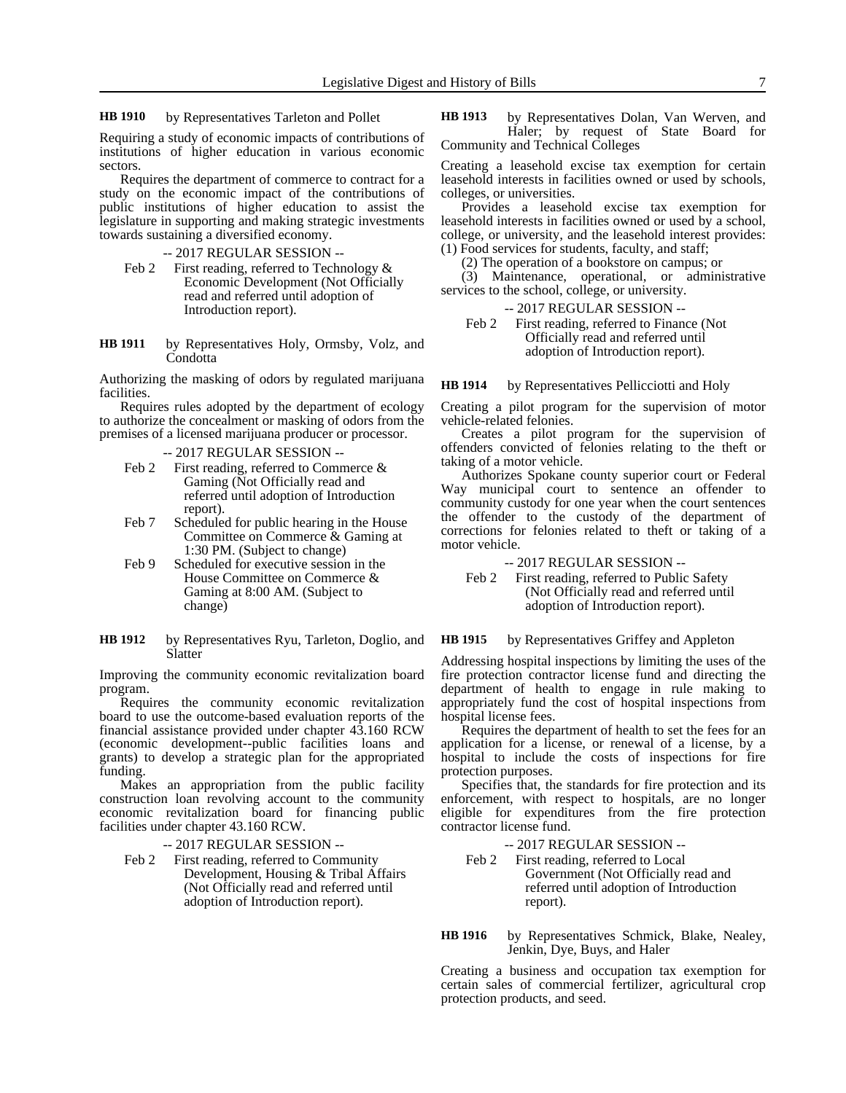by Representatives Tarleton and Pollet **HB 1910**

Requiring a study of economic impacts of contributions of institutions of higher education in various economic sectors.

Requires the department of commerce to contract for a study on the economic impact of the contributions of public institutions of higher education to assist the legislature in supporting and making strategic investments towards sustaining a diversified economy.

-- 2017 REGULAR SESSION --

- Feb 2 First reading, referred to Technology & Economic Development (Not Officially read and referred until adoption of Introduction report).
- by Representatives Holy, Ormsby, Volz, and **Condotta HB 1911**

Authorizing the masking of odors by regulated marijuana facilities.

Requires rules adopted by the department of ecology to authorize the concealment or masking of odors from the premises of a licensed marijuana producer or processor.

- -- 2017 REGULAR SESSION --
- Feb 2 First reading, referred to Commerce & Gaming (Not Officially read and referred until adoption of Introduction report).
- Feb 7 Scheduled for public hearing in the House Committee on Commerce & Gaming at 1:30 PM. (Subject to change)
- Feb 9 Scheduled for executive session in the House Committee on Commerce & Gaming at 8:00 AM. (Subject to change)
- by Representatives Ryu, Tarleton, Doglio, and Slatter **HB 1912**

Improving the community economic revitalization board program.

Requires the community economic revitalization board to use the outcome-based evaluation reports of the financial assistance provided under chapter 43.160 RCW (economic development--public facilities loans and grants) to develop a strategic plan for the appropriated funding.

Makes an appropriation from the public facility construction loan revolving account to the community economic revitalization board for financing public facilities under chapter 43.160 RCW.

-- 2017 REGULAR SESSION --

Feb 2 First reading, referred to Community Development, Housing & Tribal Affairs (Not Officially read and referred until adoption of Introduction report).

by Representatives Dolan, Van Werven, and Haler; by request of State Board for Community and Technical Colleges **HB 1913**

Creating a leasehold excise tax exemption for certain leasehold interests in facilities owned or used by schools, colleges, or universities.

Provides a leasehold excise tax exemption for leasehold interests in facilities owned or used by a school, college, or university, and the leasehold interest provides: (1) Food services for students, faculty, and staff;

(2) The operation of a bookstore on campus; or

(3) Maintenance, operational, or administrative services to the school, college, or university.

-- 2017 REGULAR SESSION --

Feb 2 First reading, referred to Finance (Not Officially read and referred until adoption of Introduction report).

by Representatives Pellicciotti and Holy **HB 1914**

Creating a pilot program for the supervision of motor vehicle-related felonies.

Creates a pilot program for the supervision of offenders convicted of felonies relating to the theft or taking of a motor vehicle.

Authorizes Spokane county superior court or Federal Way municipal court to sentence an offender to community custody for one year when the court sentences the offender to the custody of the department of corrections for felonies related to theft or taking of a motor vehicle.

-- 2017 REGULAR SESSION --

Feb 2 First reading, referred to Public Safety (Not Officially read and referred until adoption of Introduction report).

by Representatives Griffey and Appleton **HB 1915**

Addressing hospital inspections by limiting the uses of the fire protection contractor license fund and directing the department of health to engage in rule making to appropriately fund the cost of hospital inspections from hospital license fees.

Requires the department of health to set the fees for an application for a license, or renewal of a license, by a hospital to include the costs of inspections for fire protection purposes.

Specifies that, the standards for fire protection and its enforcement, with respect to hospitals, are no longer eligible for expenditures from the fire protection contractor license fund.

-- 2017 REGULAR SESSION --

Feb 2 First reading, referred to Local Government (Not Officially read and referred until adoption of Introduction report).

by Representatives Schmick, Blake, Nealey, Jenkin, Dye, Buys, and Haler **HB 1916**

Creating a business and occupation tax exemption for certain sales of commercial fertilizer, agricultural crop protection products, and seed.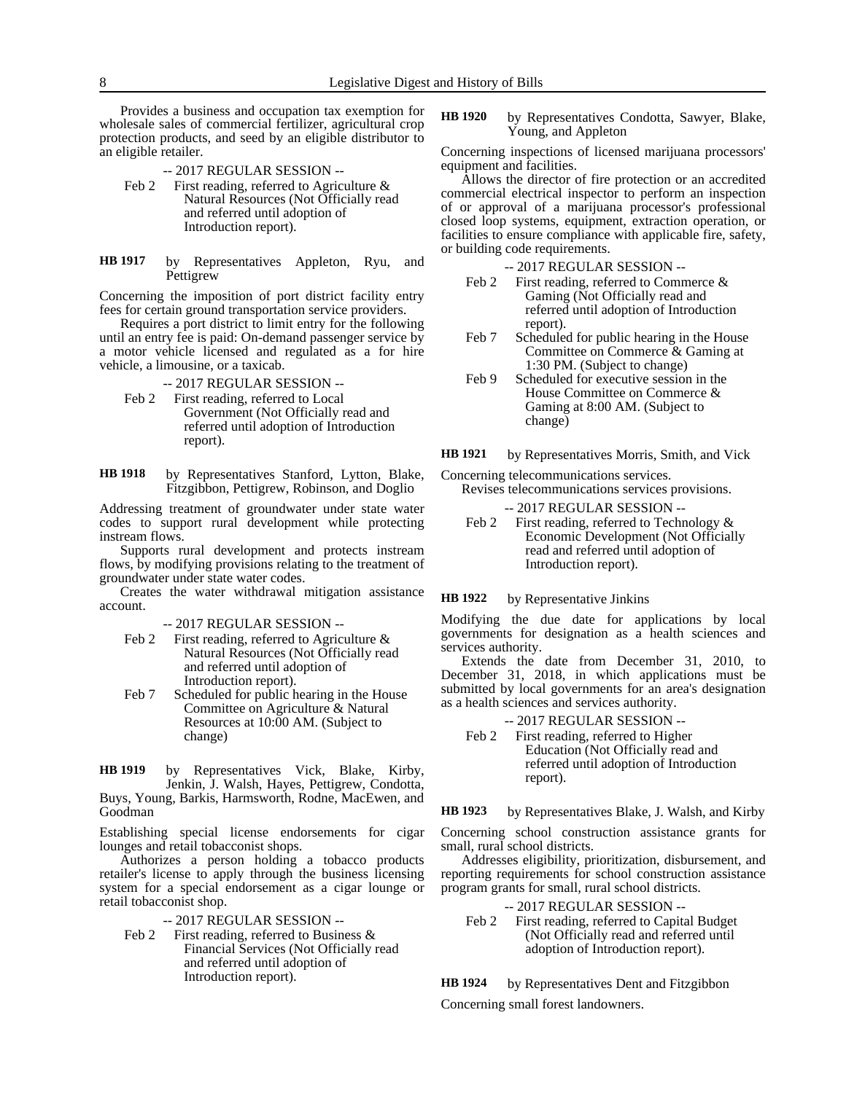Provides a business and occupation tax exemption for wholesale sales of commercial fertilizer, agricultural crop protection products, and seed by an eligible distributor to an eligible retailer.

- -- 2017 REGULAR SESSION --
- Feb 2 First reading, referred to Agriculture & Natural Resources (Not Officially read and referred until adoption of Introduction report).
- by Representatives Appleton, Ryu, and Pettigrew **HB 1917**

Concerning the imposition of port district facility entry fees for certain ground transportation service providers.

Requires a port district to limit entry for the following until an entry fee is paid: On-demand passenger service by a motor vehicle licensed and regulated as a for hire vehicle, a limousine, or a taxicab.

- -- 2017 REGULAR SESSION --
- Feb 2 First reading, referred to Local Government (Not Officially read and referred until adoption of Introduction report).
- by Representatives Stanford, Lytton, Blake, Fitzgibbon, Pettigrew, Robinson, and Doglio **HB 1918**

Addressing treatment of groundwater under state water codes to support rural development while protecting instream flows.

Supports rural development and protects instream flows, by modifying provisions relating to the treatment of groundwater under state water codes.

Creates the water withdrawal mitigation assistance account.

-- 2017 REGULAR SESSION --

- Feb 2 First reading, referred to Agriculture & Natural Resources (Not Officially read and referred until adoption of Introduction report).
- Feb 7 Scheduled for public hearing in the House Committee on Agriculture & Natural Resources at 10:00 AM. (Subject to change)

by Representatives Vick, Blake, Kirby, Jenkin, J. Walsh, Hayes, Pettigrew, Condotta, **HB 1919**

Buys, Young, Barkis, Harmsworth, Rodne, MacEwen, and Goodman

Establishing special license endorsements for cigar lounges and retail tobacconist shops.

Authorizes a person holding a tobacco products retailer's license to apply through the business licensing system for a special endorsement as a cigar lounge or retail tobacconist shop.

-- 2017 REGULAR SESSION --

Feb 2 First reading, referred to Business & Financial Services (Not Officially read and referred until adoption of Introduction report).

by Representatives Condotta, Sawyer, Blake, Young, and Appleton **HB 1920**

Concerning inspections of licensed marijuana processors' equipment and facilities.

Allows the director of fire protection or an accredited commercial electrical inspector to perform an inspection of or approval of a marijuana processor's professional closed loop systems, equipment, extraction operation, or facilities to ensure compliance with applicable fire, safety, or building code requirements.

-- 2017 REGULAR SESSION --

- Feb 2 First reading, referred to Commerce & Gaming (Not Officially read and referred until adoption of Introduction report).
- Feb 7 Scheduled for public hearing in the House Committee on Commerce & Gaming at 1:30 PM. (Subject to change)
- Feb 9 Scheduled for executive session in the House Committee on Commerce & Gaming at 8:00 AM. (Subject to change)

by Representatives Morris, Smith, and Vick **HB 1921**

Concerning telecommunications services. Revises telecommunications services provisions.

-- 2017 REGULAR SESSION --

Feb 2 First reading, referred to Technology & Economic Development (Not Officially read and referred until adoption of Introduction report).

by Representative Jinkins **HB 1922**

Modifying the due date for applications by local governments for designation as a health sciences and services authority.

Extends the date from December 31, 2010, to December 31, 2018, in which applications must be submitted by local governments for an area's designation as a health sciences and services authority.

- -- 2017 REGULAR SESSION --
- Feb 2 First reading, referred to Higher Education (Not Officially read and referred until adoption of Introduction report).

by Representatives Blake, J. Walsh, and Kirby **HB 1923**

Concerning school construction assistance grants for small, rural school districts.

Addresses eligibility, prioritization, disbursement, and reporting requirements for school construction assistance program grants for small, rural school districts.

- -- 2017 REGULAR SESSION --
- Feb 2 First reading, referred to Capital Budget (Not Officially read and referred until adoption of Introduction report).

by Representatives Dent and Fitzgibbon **HB 1924**

Concerning small forest landowners.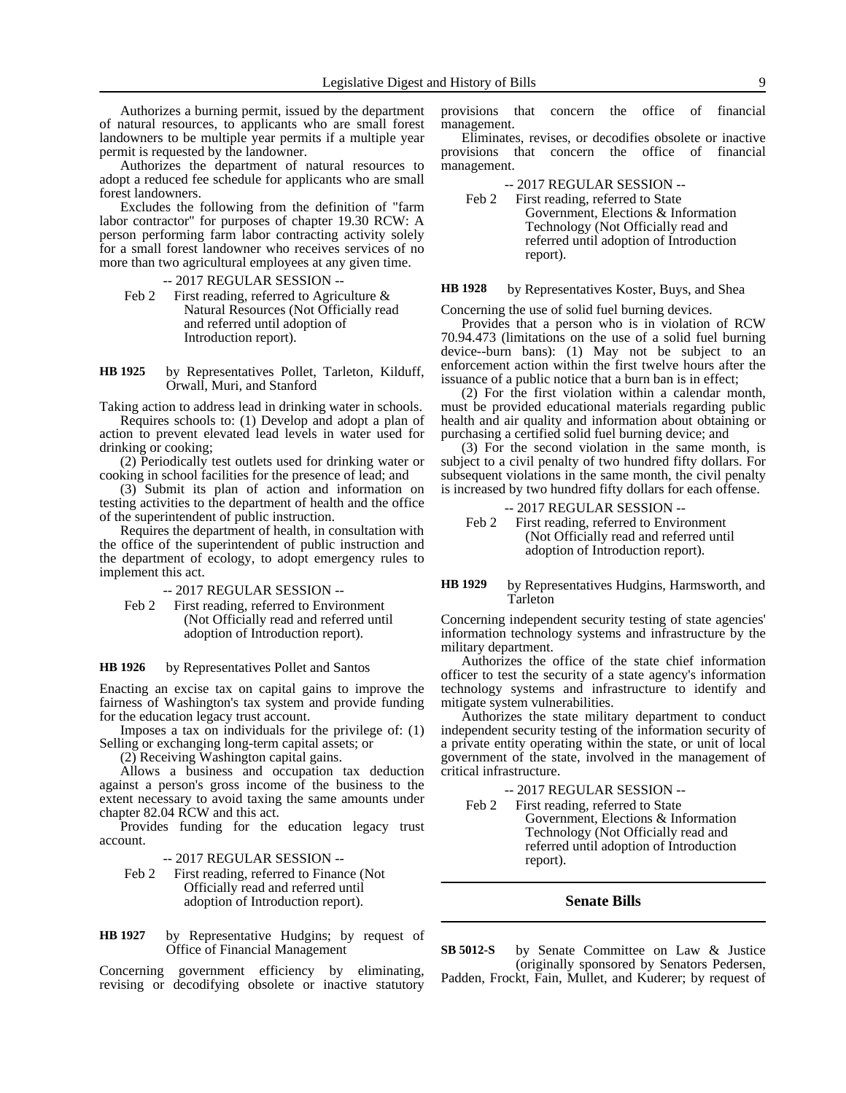Authorizes a burning permit, issued by the department of natural resources, to applicants who are small forest landowners to be multiple year permits if a multiple year permit is requested by the landowner.

Authorizes the department of natural resources to adopt a reduced fee schedule for applicants who are small forest landowners.

Excludes the following from the definition of "farm labor contractor" for purposes of chapter 19.30 RCW: A person performing farm labor contracting activity solely for a small forest landowner who receives services of no more than two agricultural employees at any given time.

-- 2017 REGULAR SESSION --

Feb 2 First reading, referred to Agriculture  $\&$ Natural Resources (Not Officially read and referred until adoption of Introduction report).

by Representatives Pollet, Tarleton, Kilduff, Orwall, Muri, and Stanford **HB 1925**

Taking action to address lead in drinking water in schools. Requires schools to: (1) Develop and adopt a plan of

action to prevent elevated lead levels in water used for drinking or cooking;

(2) Periodically test outlets used for drinking water or cooking in school facilities for the presence of lead; and

(3) Submit its plan of action and information on testing activities to the department of health and the office of the superintendent of public instruction.

Requires the department of health, in consultation with the office of the superintendent of public instruction and the department of ecology, to adopt emergency rules to implement this act.

-- 2017 REGULAR SESSION --

Feb 2 First reading, referred to Environment (Not Officially read and referred until adoption of Introduction report).

### by Representatives Pollet and Santos **HB 1926**

Enacting an excise tax on capital gains to improve the fairness of Washington's tax system and provide funding for the education legacy trust account.

Imposes a tax on individuals for the privilege of: (1) Selling or exchanging long-term capital assets; or

(2) Receiving Washington capital gains.

Allows a business and occupation tax deduction against a person's gross income of the business to the extent necessary to avoid taxing the same amounts under chapter 82.04 RCW and this act.

Provides funding for the education legacy trust account.

-- 2017 REGULAR SESSION --

Feb 2 First reading, referred to Finance (Not Officially read and referred until adoption of Introduction report).

by Representative Hudgins; by request of Office of Financial Management **HB 1927**

Concerning government efficiency by eliminating, revising or decodifying obsolete or inactive statutory provisions that concern the office of financial management.

Eliminates, revises, or decodifies obsolete or inactive provisions that concern the office of financial management.

-- 2017 REGULAR SESSION --

Feb 2 First reading, referred to State Government, Elections & Information Technology (Not Officially read and referred until adoption of Introduction report).

#### by Representatives Koster, Buys, and Shea **HB 1928**

Concerning the use of solid fuel burning devices.

Provides that a person who is in violation of RCW 70.94.473 (limitations on the use of a solid fuel burning device--burn bans): (1) May not be subject to an enforcement action within the first twelve hours after the issuance of a public notice that a burn ban is in effect;

(2) For the first violation within a calendar month, must be provided educational materials regarding public health and air quality and information about obtaining or purchasing a certified solid fuel burning device; and

(3) For the second violation in the same month, is subject to a civil penalty of two hundred fifty dollars. For subsequent violations in the same month, the civil penalty is increased by two hundred fifty dollars for each offense.

- -- 2017 REGULAR SESSION --
- Feb 2 First reading, referred to Environment (Not Officially read and referred until adoption of Introduction report).

### by Representatives Hudgins, Harmsworth, and Tarleton **HB 1929**

Concerning independent security testing of state agencies' information technology systems and infrastructure by the military department.

Authorizes the office of the state chief information officer to test the security of a state agency's information technology systems and infrastructure to identify and mitigate system vulnerabilities.

Authorizes the state military department to conduct independent security testing of the information security of a private entity operating within the state, or unit of local government of the state, involved in the management of critical infrastructure.

-- 2017 REGULAR SESSION --

Feb 2 First reading, referred to State

Government, Elections & Information Technology (Not Officially read and referred until adoption of Introduction report).

### **Senate Bills**

by Senate Committee on Law & Justice (originally sponsored by Senators Pedersen, Padden, Frockt, Fain, Mullet, and Kuderer; by request of **SB 5012-S**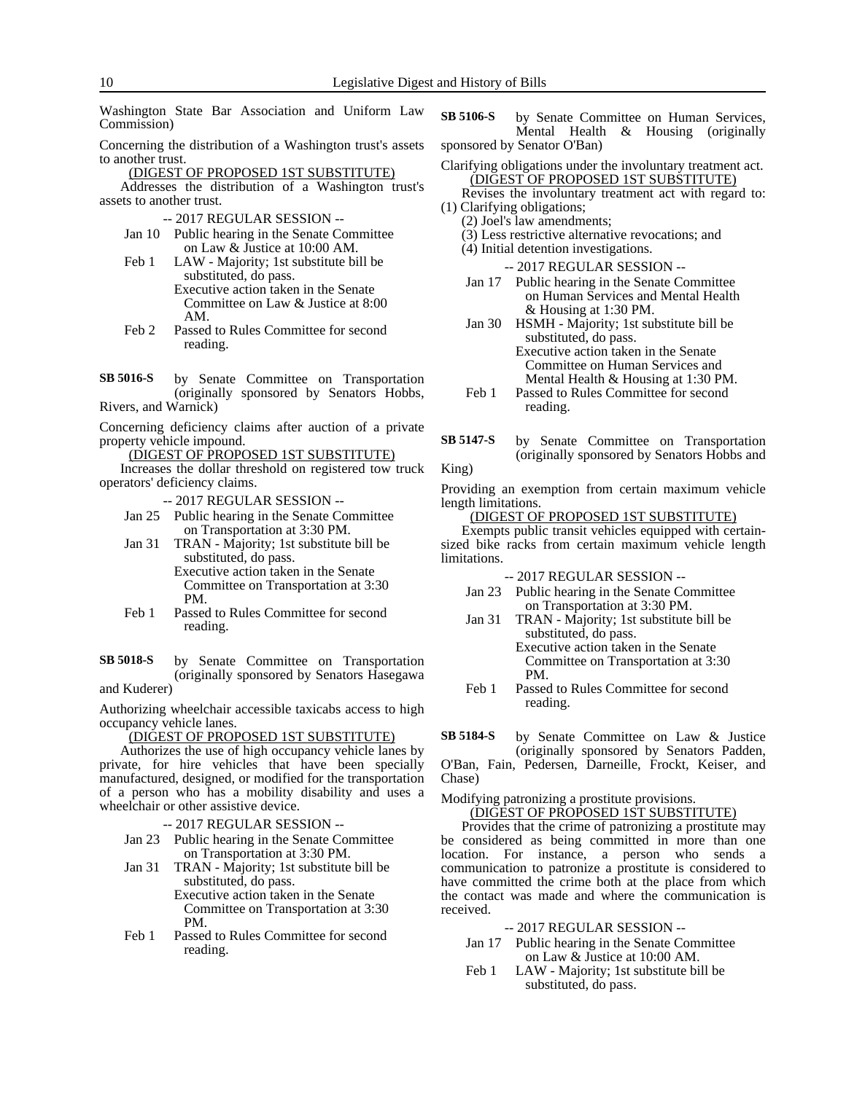Washington State Bar Association and Uniform Law Commission)

Concerning the distribution of a Washington trust's assets to another trust.

(DIGEST OF PROPOSED 1ST SUBSTITUTE)

Addresses the distribution of a Washington trust's assets to another trust.

- -- 2017 REGULAR SESSION --
- Jan 10 Public hearing in the Senate Committee on Law & Justice at 10:00 AM.
- Feb 1 LAW Majority; 1st substitute bill be substituted, do pass. Executive action taken in the Senate Committee on Law & Justice at 8:00 AM.
- Feb 2 Passed to Rules Committee for second reading.

by Senate Committee on Transportation (originally sponsored by Senators Hobbs, Rivers, and Warnick) **SB 5016-S**

Concerning deficiency claims after auction of a private property vehicle impound.

(DIGEST OF PROPOSED 1ST SUBSTITUTE)

Increases the dollar threshold on registered tow truck operators' deficiency claims.

-- 2017 REGULAR SESSION --

Jan 25 Public hearing in the Senate Committee on Transportation at 3:30 PM.

Jan 31 TRAN - Majority; 1st substitute bill be substituted, do pass. Executive action taken in the Senate Committee on Transportation at 3:30 PM.

Feb 1 Passed to Rules Committee for second reading.

by Senate Committee on Transportation (originally sponsored by Senators Hasegawa and Kuderer) **SB 5018-S**

Authorizing wheelchair accessible taxicabs access to high occupancy vehicle lanes.

(DIGEST OF PROPOSED 1ST SUBSTITUTE)

Authorizes the use of high occupancy vehicle lanes by private, for hire vehicles that have been specially manufactured, designed, or modified for the transportation of a person who has a mobility disability and uses a wheelchair or other assistive device.

-- 2017 REGULAR SESSION --

- Jan 23 Public hearing in the Senate Committee on Transportation at 3:30 PM.
- Jan 31 TRAN Majority; 1st substitute bill be substituted, do pass. Executive action taken in the Senate

Committee on Transportation at 3:30 PM.

Feb 1 Passed to Rules Committee for second reading.

by Senate Committee on Human Services, Mental Health & Housing (originally sponsored by Senator O'Ban) **SB 5106-S**

Clarifying obligations under the involuntary treatment act. (DIGEST OF PROPOSED 1ST SUBSTITUTE)

Revises the involuntary treatment act with regard to: (1) Clarifying obligations;

(2) Joel's law amendments;

(3) Less restrictive alternative revocations; and

(4) Initial detention investigations.

-- 2017 REGULAR SESSION --

- Jan 17 Public hearing in the Senate Committee on Human Services and Mental Health & Housing at 1:30 PM.
- Jan 30 HSMH Majority; 1st substitute bill be substituted, do pass. Executive action taken in the Senate Committee on Human Services and
- Mental Health & Housing at 1:30 PM. Feb 1 Passed to Rules Committee for second reading.
- by Senate Committee on Transportation (originally sponsored by Senators Hobbs and King) **SB 5147-S**

Providing an exemption from certain maximum vehicle length limitations.

### (DIGEST OF PROPOSED 1ST SUBSTITUTE)

Exempts public transit vehicles equipped with certainsized bike racks from certain maximum vehicle length limitations.

-- 2017 REGULAR SESSION --

- Jan 23 Public hearing in the Senate Committee on Transportation at 3:30 PM.
- Jan 31 TRAN Majority; 1st substitute bill be substituted, do pass.

Executive action taken in the Senate Committee on Transportation at 3:30 PM.

Feb 1 Passed to Rules Committee for second reading.

by Senate Committee on Law & Justice (originally sponsored by Senators Padden, **SB 5184-S**

O'Ban, Fain, Pedersen, Darneille, Frockt, Keiser, and Chase)

Modifying patronizing a prostitute provisions.

(DIGEST OF PROPOSED 1ST SUBSTITUTE)

Provides that the crime of patronizing a prostitute may be considered as being committed in more than one location. For instance, a person who sends a communication to patronize a prostitute is considered to have committed the crime both at the place from which the contact was made and where the communication is received.

-- 2017 REGULAR SESSION --

- Jan 17 Public hearing in the Senate Committee on Law & Justice at 10:00 AM.
- Feb 1 LAW Majority; 1st substitute bill be substituted, do pass.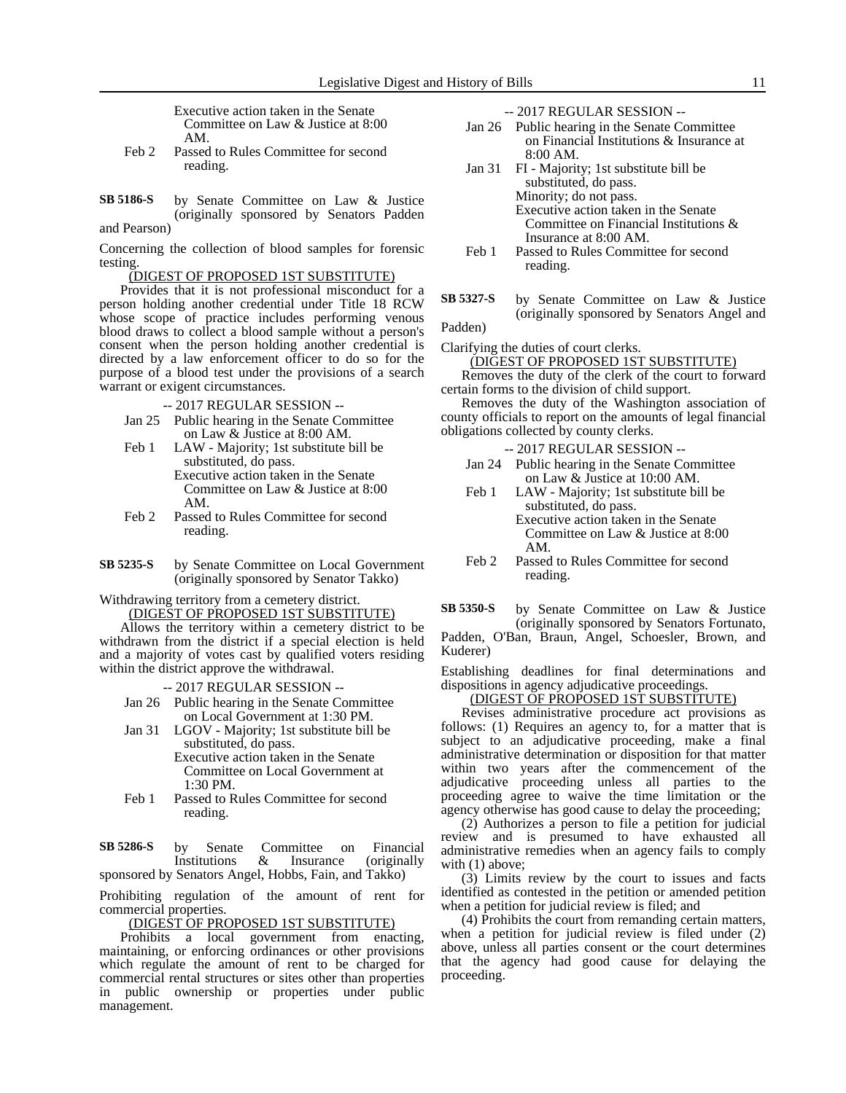Executive action taken in the Senate Committee on Law & Justice at 8:00 AM.

- Feb 2 Passed to Rules Committee for second reading.
- by Senate Committee on Law & Justice (originally sponsored by Senators Padden and Pearson) **SB 5186-S**

Concerning the collection of blood samples for forensic testing.

### (DIGEST OF PROPOSED 1ST SUBSTITUTE)

Provides that it is not professional misconduct for a person holding another credential under Title 18 RCW whose scope of practice includes performing venous blood draws to collect a blood sample without a person's consent when the person holding another credential is directed by a law enforcement officer to do so for the purpose of a blood test under the provisions of a search warrant or exigent circumstances.

- -- 2017 REGULAR SESSION --
- Jan 25 Public hearing in the Senate Committee on Law & Justice at 8:00 AM.
- Feb 1 LAW Majority; 1st substitute bill be substituted, do pass. Executive action taken in the Senate Committee on Law & Justice at 8:00 AM.
- Feb 2 Passed to Rules Committee for second reading.
- by Senate Committee on Local Government (originally sponsored by Senator Takko) **SB 5235-S**

Withdrawing territory from a cemetery district. (DIGEST OF PROPOSED 1ST SUBSTITUTE)

Allows the territory within a cemetery district to be withdrawn from the district if a special election is held and a majority of votes cast by qualified voters residing within the district approve the withdrawal.

-- 2017 REGULAR SESSION --

- Jan 26 Public hearing in the Senate Committee on Local Government at 1:30 PM.
- Jan 31 LGOV Majority; 1st substitute bill be substituted, do pass. Executive action taken in the Senate

Committee on Local Government at 1:30 PM.

Feb 1 Passed to Rules Committee for second reading.

by Senate Committee on Financial<br>Institutions & Insurance (originally Institutions & Insurance (originally sponsored by Senators Angel, Hobbs, Fain, and Takko) **SB 5286-S**

Prohibiting regulation of the amount of rent for commercial properties.

(DIGEST OF PROPOSED 1ST SUBSTITUTE)

Prohibits a local government from enacting, maintaining, or enforcing ordinances or other provisions which regulate the amount of rent to be charged for commercial rental structures or sites other than properties in public ownership or properties under public management.

- Jan 26 Public hearing in the Senate Committee on Financial Institutions & Insurance at 8:00 AM.
- Jan 31 FI Majority; 1st substitute bill be substituted, do pass. Minority; do not pass. Executive action taken in the Senate Committee on Financial Institutions & Insurance at 8:00 AM.
- Feb 1 Passed to Rules Committee for second reading.
- by Senate Committee on Law & Justice (originally sponsored by Senators Angel and **SB 5327-S**

Padden)

Clarifying the duties of court clerks. (DIGEST OF PROPOSED 1ST SUBSTITUTE) Removes the duty of the clerk of the court to forward

certain forms to the division of child support.

Removes the duty of the Washington association of county officials to report on the amounts of legal financial obligations collected by county clerks.

- -- 2017 REGULAR SESSION --
- Jan 24 Public hearing in the Senate Committee on Law & Justice at 10:00 AM.
- Feb 1 LAW Majority; 1st substitute bill be substituted, do pass. Executive action taken in the Senate Committee on Law & Justice at 8:00 AM.
- Feb 2 Passed to Rules Committee for second reading.

by Senate Committee on Law & Justice (originally sponsored by Senators Fortunato, Padden, O'Ban, Braun, Angel, Schoesler, Brown, and Kuderer) **SB 5350-S**

Establishing deadlines for final determinations and dispositions in agency adjudicative proceedings.

### (DIGEST OF PROPOSED 1ST SUBSTITUTE)

Revises administrative procedure act provisions as follows: (1) Requires an agency to, for a matter that is subject to an adjudicative proceeding, make a final administrative determination or disposition for that matter within two years after the commencement of the adjudicative proceeding unless all parties to the proceeding agree to waive the time limitation or the agency otherwise has good cause to delay the proceeding;

(2) Authorizes a person to file a petition for judicial review and is presumed to have exhausted all administrative remedies when an agency fails to comply with  $(1)$  above;

(3) Limits review by the court to issues and facts identified as contested in the petition or amended petition when a petition for judicial review is filed; and

(4) Prohibits the court from remanding certain matters, when a petition for judicial review is filed under (2) above, unless all parties consent or the court determines that the agency had good cause for delaying the proceeding.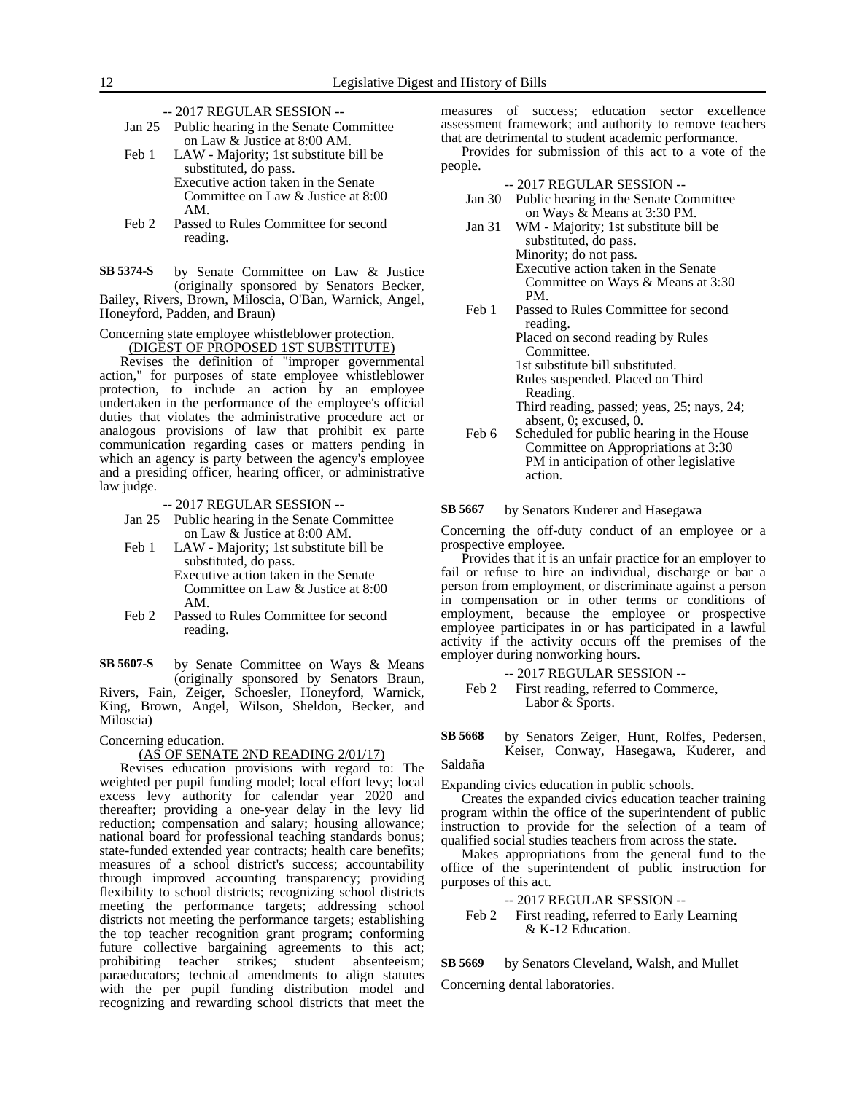- -- 2017 REGULAR SESSION --
- Jan 25 Public hearing in the Senate Committee on Law & Justice at 8:00 AM.
- Feb 1 LAW Majority; 1st substitute bill be substituted, do pass. Executive action taken in the Senate Committee on Law & Justice at 8:00
- AM. Feb 2 Passed to Rules Committee for second
	- reading.

by Senate Committee on Law & Justice (originally sponsored by Senators Becker, Bailey, Rivers, Brown, Miloscia, O'Ban, Warnick, Angel, Honeyford, Padden, and Braun) **SB 5374-S**

Concerning state employee whistleblower protection.

(DIGEST OF PROPOSED 1ST SUBSTITUTE)

Revises the definition of "improper governmental action," for purposes of state employee whistleblower protection, to include an action by an employee undertaken in the performance of the employee's official duties that violates the administrative procedure act or analogous provisions of law that prohibit ex parte communication regarding cases or matters pending in which an agency is party between the agency's employee and a presiding officer, hearing officer, or administrative law judge.

-- 2017 REGULAR SESSION --

- Jan 25 Public hearing in the Senate Committee on Law & Justice at 8:00 AM.
- Feb 1 LAW Majority; 1st substitute bill be substituted, do pass.

Executive action taken in the Senate Committee on Law & Justice at 8:00 AM.

Feb 2 Passed to Rules Committee for second reading.

by Senate Committee on Ways & Means (originally sponsored by Senators Braun, Rivers, Fain, Zeiger, Schoesler, Honeyford, Warnick, King, Brown, Angel, Wilson, Sheldon, Becker, and Miloscia) **SB 5607-S**

Concerning education.

### (AS OF SENATE 2ND READING 2/01/17)

Revises education provisions with regard to: The weighted per pupil funding model; local effort levy; local excess levy authority for calendar year 2020 and thereafter; providing a one-year delay in the levy lid reduction; compensation and salary; housing allowance; national board for professional teaching standards bonus; state-funded extended year contracts; health care benefits; measures of a school district's success; accountability through improved accounting transparency; providing flexibility to school districts; recognizing school districts meeting the performance targets; addressing school districts not meeting the performance targets; establishing the top teacher recognition grant program; conforming future collective bargaining agreements to this act; prohibiting teacher strikes; student absenteeism; paraeducators; technical amendments to align statutes with the per pupil funding distribution model and recognizing and rewarding school districts that meet the

measures of success; education sector excellence assessment framework; and authority to remove teachers that are detrimental to student academic performance.

Provides for submission of this act to a vote of the people.

-- 2017 REGULAR SESSION --

- Jan 30 Public hearing in the Senate Committee on Ways & Means at 3:30 PM.
- Jan 31 WM Majority; 1st substitute bill be substituted, do pass. Minority; do not pass. Executive action taken in the Senate Committee on Ways & Means at 3:30 PM.
- Feb 1 Passed to Rules Committee for second reading. Placed on second reading by Rules

Committee. 1st substitute bill substituted.

Rules suspended. Placed on Third Reading.

Third reading, passed; yeas, 25; nays, 24; absent, 0; excused, 0.

Feb 6 Scheduled for public hearing in the House Committee on Appropriations at 3:30 PM in anticipation of other legislative action.

#### by Senators Kuderer and Hasegawa **SB 5667**

Concerning the off-duty conduct of an employee or a prospective employee.

Provides that it is an unfair practice for an employer to fail or refuse to hire an individual, discharge or bar a person from employment, or discriminate against a person in compensation or in other terms or conditions of employment, because the employee or prospective employee participates in or has participated in a lawful activity if the activity occurs off the premises of the employer during nonworking hours.

-- 2017 REGULAR SESSION -- Feb 2 First reading, referred to Commerce, Labor & Sports.

by Senators Zeiger, Hunt, Rolfes, Pedersen, Keiser, Conway, Hasegawa, Kuderer, and **SB 5668**

Saldaña

Expanding civics education in public schools.

Creates the expanded civics education teacher training program within the office of the superintendent of public instruction to provide for the selection of a team of qualified social studies teachers from across the state.

Makes appropriations from the general fund to the office of the superintendent of public instruction for purposes of this act.

-- 2017 REGULAR SESSION -- Feb 2 First reading, referred to Early Learning & K-12 Education.

by Senators Cleveland, Walsh, and Mullet Concerning dental laboratories. **SB 5669**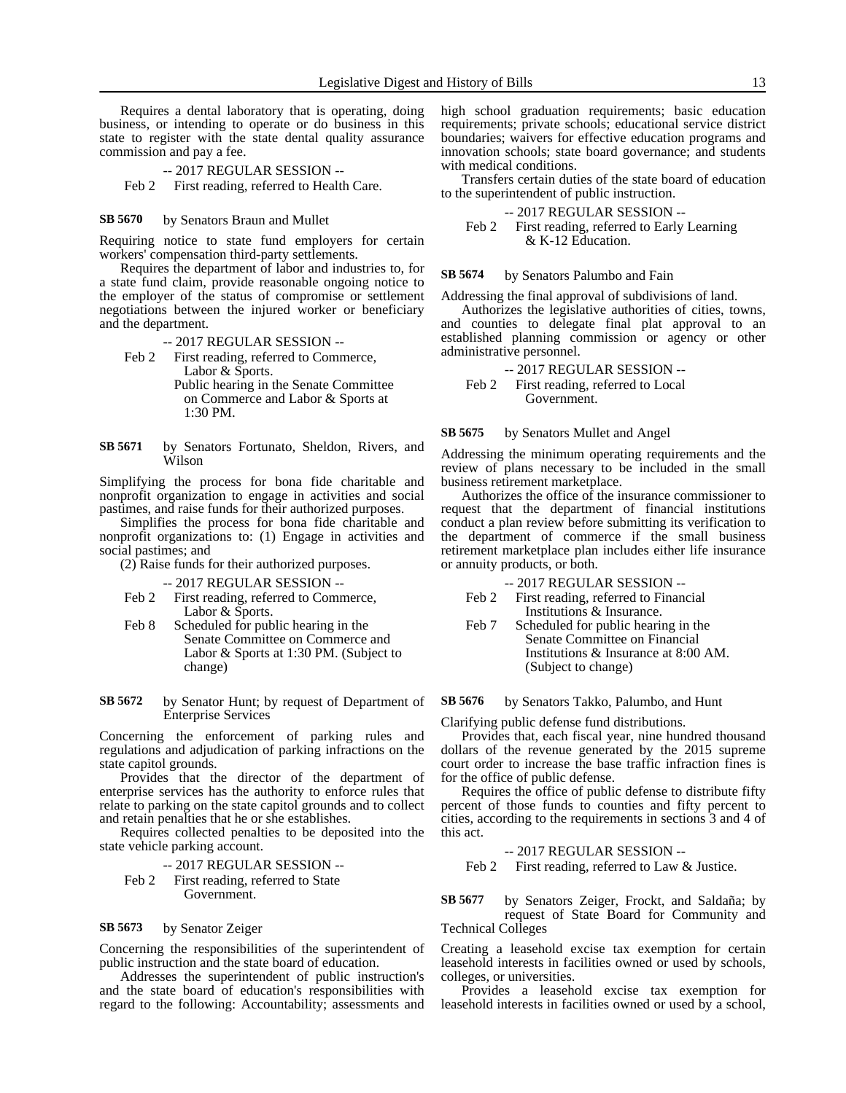Requires a dental laboratory that is operating, doing business, or intending to operate or do business in this state to register with the state dental quality assurance commission and pay a fee.

- -- 2017 REGULAR SESSION --
- Feb 2 First reading, referred to Health Care.

#### by Senators Braun and Mullet **SB 5670**

Requiring notice to state fund employers for certain workers' compensation third-party settlements.

Requires the department of labor and industries to, for a state fund claim, provide reasonable ongoing notice to the employer of the status of compromise or settlement negotiations between the injured worker or beneficiary and the department.

### -- 2017 REGULAR SESSION --

Feb 2 First reading, referred to Commerce, Labor & Sports. Public hearing in the Senate Committee

on Commerce and Labor & Sports at 1:30 PM.

by Senators Fortunato, Sheldon, Rivers, and Wilson **SB 5671**

Simplifying the process for bona fide charitable and nonprofit organization to engage in activities and social pastimes, and raise funds for their authorized purposes.

Simplifies the process for bona fide charitable and nonprofit organizations to: (1) Engage in activities and social pastimes; and

(2) Raise funds for their authorized purposes.

- -- 2017 REGULAR SESSION --
- Feb 2 First reading, referred to Commerce, Labor & Sports.
- Feb 8 Scheduled for public hearing in the Senate Committee on Commerce and Labor & Sports at 1:30 PM. (Subject to change)

by Senator Hunt; by request of Department of Enterprise Services **SB 5672**

Concerning the enforcement of parking rules and regulations and adjudication of parking infractions on the state capitol grounds.

Provides that the director of the department of enterprise services has the authority to enforce rules that relate to parking on the state capitol grounds and to collect and retain penalties that he or she establishes.

Requires collected penalties to be deposited into the state vehicle parking account.

-- 2017 REGULAR SESSION -- Feb 2 First reading, referred to State Government.

#### by Senator Zeiger **SB 5673**

Concerning the responsibilities of the superintendent of public instruction and the state board of education.

Addresses the superintendent of public instruction's and the state board of education's responsibilities with regard to the following: Accountability; assessments and high school graduation requirements; basic education requirements; private schools; educational service district boundaries; waivers for effective education programs and innovation schools; state board governance; and students with medical conditions.

Transfers certain duties of the state board of education to the superintendent of public instruction.

-- 2017 REGULAR SESSION --

Feb 2 First reading, referred to Early Learning & K-12 Education.

#### by Senators Palumbo and Fain **SB 5674**

Addressing the final approval of subdivisions of land.

Authorizes the legislative authorities of cities, towns, and counties to delegate final plat approval to an established planning commission or agency or other administrative personnel.

-- 2017 REGULAR SESSION -- Feb 2 First reading, referred to Local Government.

#### by Senators Mullet and Angel **SB 5675**

Addressing the minimum operating requirements and the review of plans necessary to be included in the small business retirement marketplace.

Authorizes the office of the insurance commissioner to request that the department of financial institutions conduct a plan review before submitting its verification to the department of commerce if the small business retirement marketplace plan includes either life insurance or annuity products, or both.

- -- 2017 REGULAR SESSION --
- Feb 2 First reading, referred to Financial Institutions & Insurance.
- Feb 7 Scheduled for public hearing in the Senate Committee on Financial Institutions & Insurance at 8:00 AM. (Subject to change)

### by Senators Takko, Palumbo, and Hunt **SB 5676**

Clarifying public defense fund distributions.

Provides that, each fiscal year, nine hundred thousand dollars of the revenue generated by the 2015 supreme court order to increase the base traffic infraction fines is for the office of public defense.

Requires the office of public defense to distribute fifty percent of those funds to counties and fifty percent to cities, according to the requirements in sections 3 and 4 of this act.

-- 2017 REGULAR SESSION --

Feb 2 First reading, referred to Law & Justice.

by Senators Zeiger, Frockt, and Saldaña; by request of State Board for Community and Technical Colleges **SB 5677**

Creating a leasehold excise tax exemption for certain leasehold interests in facilities owned or used by schools, colleges, or universities.

Provides a leasehold excise tax exemption for leasehold interests in facilities owned or used by a school,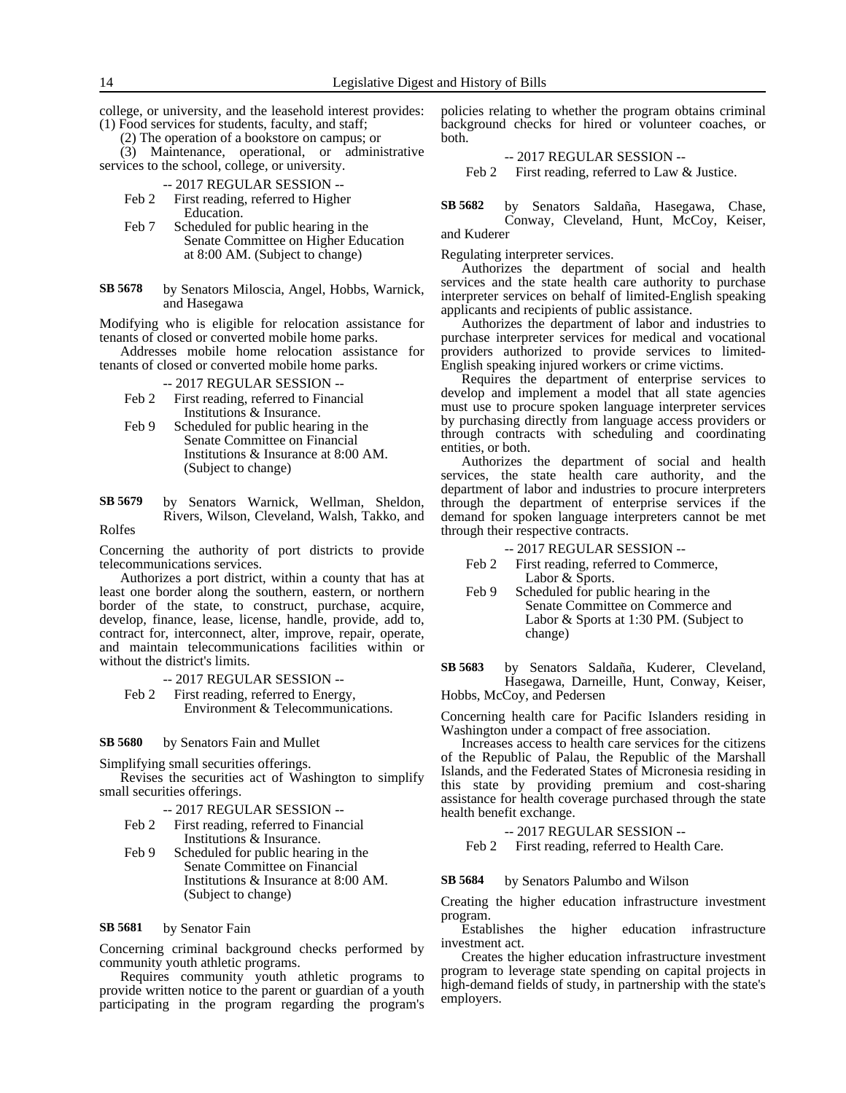college, or university, and the leasehold interest provides: (1) Food services for students, faculty, and staff;

(2) The operation of a bookstore on campus; or

(3) Maintenance, operational, or administrative services to the school, college, or university.

-- 2017 REGULAR SESSION --

- Feb 2 First reading, referred to Higher Education.
- Feb 7 Scheduled for public hearing in the Senate Committee on Higher Education at 8:00 AM. (Subject to change)
- by Senators Miloscia, Angel, Hobbs, Warnick, and Hasegawa **SB 5678**

Modifying who is eligible for relocation assistance for tenants of closed or converted mobile home parks.

Addresses mobile home relocation assistance for tenants of closed or converted mobile home parks.

-- 2017 REGULAR SESSION --

- Feb 2 First reading, referred to Financial Institutions & Insurance.
- Feb 9 Scheduled for public hearing in the Senate Committee on Financial Institutions & Insurance at 8:00 AM. (Subject to change)
- by Senators Warnick, Wellman, Sheldon, Rivers, Wilson, Cleveland, Walsh, Takko, and Rolfes **SB 5679**

Concerning the authority of port districts to provide telecommunications services.

Authorizes a port district, within a county that has at least one border along the southern, eastern, or northern border of the state, to construct, purchase, acquire, develop, finance, lease, license, handle, provide, add to, contract for, interconnect, alter, improve, repair, operate, and maintain telecommunications facilities within or without the district's limits.

-- 2017 REGULAR SESSION --

Feb 2 First reading, referred to Energy, Environment & Telecommunications.

#### by Senators Fain and Mullet **SB 5680**

Simplifying small securities offerings.

Revises the securities act of Washington to simplify small securities offerings.

- -- 2017 REGULAR SESSION --
- Feb 2 First reading, referred to Financial Institutions & Insurance.
- Feb 9 Scheduled for public hearing in the Senate Committee on Financial Institutions & Insurance at 8:00 AM. (Subject to change)

#### by Senator Fain **SB 5681**

Concerning criminal background checks performed by community youth athletic programs.

Requires community youth athletic programs to provide written notice to the parent or guardian of a youth participating in the program regarding the program's policies relating to whether the program obtains criminal background checks for hired or volunteer coaches, or both.

-- 2017 REGULAR SESSION -- Feb 2 First reading, referred to Law & Justice.

by Senators Saldaña, Hasegawa, Chase, Conway, Cleveland, Hunt, McCoy, Keiser, and Kuderer **SB 5682**

Regulating interpreter services.

Authorizes the department of social and health services and the state health care authority to purchase interpreter services on behalf of limited-English speaking applicants and recipients of public assistance.

Authorizes the department of labor and industries to purchase interpreter services for medical and vocational providers authorized to provide services to limited-English speaking injured workers or crime victims.

Requires the department of enterprise services to develop and implement a model that all state agencies must use to procure spoken language interpreter services by purchasing directly from language access providers or through contracts with scheduling and coordinating entities, or both.

Authorizes the department of social and health services, the state health care authority, and the department of labor and industries to procure interpreters through the department of enterprise services if the demand for spoken language interpreters cannot be met through their respective contracts.

-- 2017 REGULAR SESSION --

- Feb 2 First reading, referred to Commerce, Labor & Sports.
- Feb 9 Scheduled for public hearing in the Senate Committee on Commerce and Labor & Sports at 1:30 PM. (Subject to change)

by Senators Saldaña, Kuderer, Cleveland, Hasegawa, Darneille, Hunt, Conway, Keiser, **SB 5683**

Hobbs, McCoy, and Pedersen

Concerning health care for Pacific Islanders residing in Washington under a compact of free association.

Increases access to health care services for the citizens of the Republic of Palau, the Republic of the Marshall Islands, and the Federated States of Micronesia residing in this state by providing premium and cost-sharing assistance for health coverage purchased through the state health benefit exchange.

-- 2017 REGULAR SESSION --

Feb 2 First reading, referred to Health Care.

by Senators Palumbo and Wilson **SB 5684**

Creating the higher education infrastructure investment program.

Establishes the higher education infrastructure investment act.

Creates the higher education infrastructure investment program to leverage state spending on capital projects in high-demand fields of study, in partnership with the state's employers.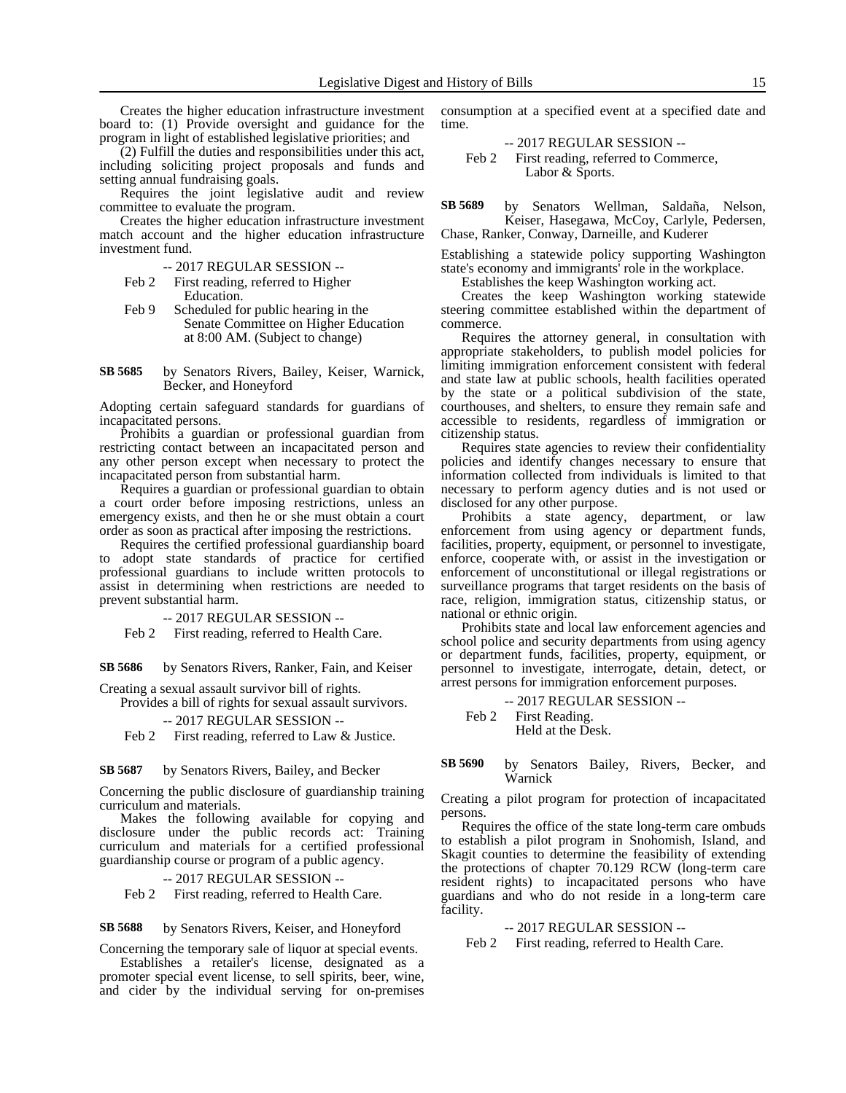Creates the higher education infrastructure investment board to: (1) Provide oversight and guidance for the program in light of established legislative priorities; and

(2) Fulfill the duties and responsibilities under this act, including soliciting project proposals and funds and setting annual fundraising goals.

Requires the joint legislative audit and review committee to evaluate the program.

Creates the higher education infrastructure investment match account and the higher education infrastructure investment fund.

-- 2017 REGULAR SESSION --

- Feb 2 First reading, referred to Higher Education.
- Feb 9 Scheduled for public hearing in the Senate Committee on Higher Education at 8:00 AM. (Subject to change)

by Senators Rivers, Bailey, Keiser, Warnick, Becker, and Honeyford **SB 5685**

Adopting certain safeguard standards for guardians of incapacitated persons.

Prohibits a guardian or professional guardian from restricting contact between an incapacitated person and any other person except when necessary to protect the incapacitated person from substantial harm.

Requires a guardian or professional guardian to obtain a court order before imposing restrictions, unless an emergency exists, and then he or she must obtain a court order as soon as practical after imposing the restrictions.

Requires the certified professional guardianship board to adopt state standards of practice for certified professional guardians to include written protocols to assist in determining when restrictions are needed to prevent substantial harm.

-- 2017 REGULAR SESSION --

Feb 2 First reading, referred to Health Care.

by Senators Rivers, Ranker, Fain, and Keiser **SB 5686**

Creating a sexual assault survivor bill of rights.

Provides a bill of rights for sexual assault survivors.

-- 2017 REGULAR SESSION --

Feb 2 First reading, referred to Law & Justice.

by Senators Rivers, Bailey, and Becker **SB 5687**

Concerning the public disclosure of guardianship training curriculum and materials.

Makes the following available for copying and disclosure under the public records act: Training curriculum and materials for a certified professional guardianship course or program of a public agency.

-- 2017 REGULAR SESSION --

Feb 2 First reading, referred to Health Care.

#### by Senators Rivers, Keiser, and Honeyford **SB 5688**

Concerning the temporary sale of liquor at special events.

Establishes a retailer's license, designated as a promoter special event license, to sell spirits, beer, wine, and cider by the individual serving for on-premises

consumption at a specified event at a specified date and time.

-- 2017 REGULAR SESSION -- Feb 2 First reading, referred to Commerce, Labor & Sports.

by Senators Wellman, Saldaña, Nelson, Keiser, Hasegawa, McCoy, Carlyle, Pedersen, Chase, Ranker, Conway, Darneille, and Kuderer **SB 5689**

Establishing a statewide policy supporting Washington state's economy and immigrants' role in the workplace.

Establishes the keep Washington working act.

Creates the keep Washington working statewide steering committee established within the department of commerce.

Requires the attorney general, in consultation with appropriate stakeholders, to publish model policies for limiting immigration enforcement consistent with federal and state law at public schools, health facilities operated by the state or a political subdivision of the state, courthouses, and shelters, to ensure they remain safe and accessible to residents, regardless of immigration or citizenship status.

Requires state agencies to review their confidentiality policies and identify changes necessary to ensure that information collected from individuals is limited to that necessary to perform agency duties and is not used or disclosed for any other purpose.

Prohibits a state agency, department, or law enforcement from using agency or department funds, facilities, property, equipment, or personnel to investigate, enforce, cooperate with, or assist in the investigation or enforcement of unconstitutional or illegal registrations or surveillance programs that target residents on the basis of race, religion, immigration status, citizenship status, or national or ethnic origin.

Prohibits state and local law enforcement agencies and school police and security departments from using agency or department funds, facilities, property, equipment, or personnel to investigate, interrogate, detain, detect, or arrest persons for immigration enforcement purposes.

-- 2017 REGULAR SESSION -- Feb 2 First Reading. Held at the Desk.

### by Senators Bailey, Rivers, Becker, and Warnick **SB 5690**

Creating a pilot program for protection of incapacitated persons.

Requires the office of the state long-term care ombuds to establish a pilot program in Snohomish, Island, and Skagit counties to determine the feasibility of extending the protections of chapter 70.129 RCW (long-term care resident rights) to incapacitated persons who have guardians and who do not reside in a long-term care facility.

-- 2017 REGULAR SESSION --

Feb 2 First reading, referred to Health Care.